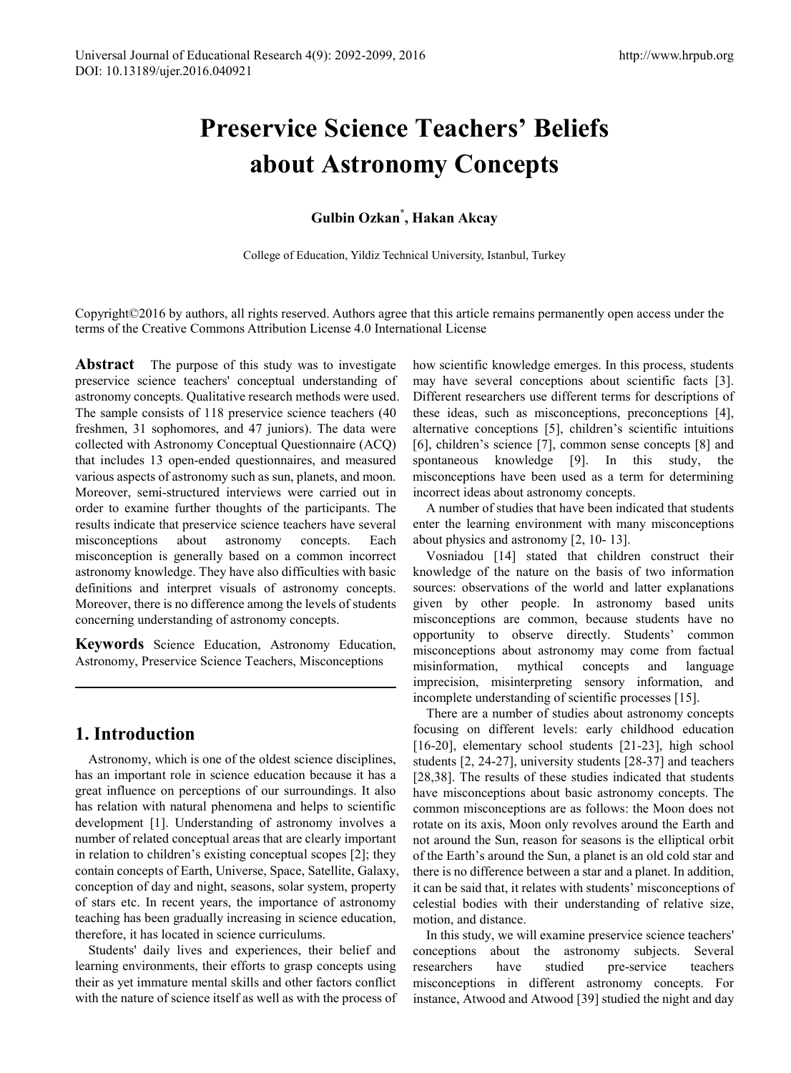# **Preservice Science Teachers' Beliefs about Astronomy Concepts**

## **Gulbin Ozkan\* , Hakan Akcay**

College of Education, Yildiz Technical University, Istanbul, Turkey

Copyright©2016 by authors, all rights reserved. Authors agree that this article remains permanently open access under the terms of the Creative Commons Attribution License 4.0 International License

**Abstract** The purpose of this study was to investigate preservice science teachers' conceptual understanding of astronomy concepts. Qualitative research methods were used. The sample consists of 118 preservice science teachers (40 freshmen, 31 sophomores, and 47 juniors). The data were collected with Astronomy Conceptual Questionnaire (ACQ) that includes 13 open-ended questionnaires, and measured various aspects of astronomy such as sun, planets, and moon. Moreover, semi-structured interviews were carried out in order to examine further thoughts of the participants. The results indicate that preservice science teachers have several misconceptions about astronomy concepts. Each misconception is generally based on a common incorrect astronomy knowledge. They have also difficulties with basic definitions and interpret visuals of astronomy concepts. Moreover, there is no difference among the levels of students concerning understanding of astronomy concepts.

**Keywords** Science Education, Astronomy Education, Astronomy, Preservice Science Teachers, Misconceptions

## **1. Introduction**

Astronomy, which is one of the oldest science disciplines, has an important role in science education because it has a great influence on perceptions of our surroundings. It also has relation with natural phenomena and helps to scientific development [1]. Understanding of astronomy involves a number of related conceptual areas that are clearly important in relation to children's existing conceptual scopes [2]; they contain concepts of Earth, Universe, Space, Satellite, Galaxy, conception of day and night, seasons, solar system, property of stars etc. In recent years, the importance of astronomy teaching has been gradually increasing in science education, therefore, it has located in science curriculums.

Students' daily lives and experiences, their belief and learning environments, their efforts to grasp concepts using their as yet immature mental skills and other factors conflict with the nature of science itself as well as with the process of

how scientific knowledge emerges. In this process, students may have several conceptions about scientific facts [3]. Different researchers use different terms for descriptions of these ideas, such as misconceptions, preconceptions [4], alternative conceptions [5], children's scientific intuitions [6], children's science [7], common sense concepts [8] and spontaneous knowledge [9]. In this study, the misconceptions have been used as a term for determining incorrect ideas about astronomy concepts.

A number of studies that have been indicated that students enter the learning environment with many misconceptions about physics and astronomy [2, 10- 13].

Vosniadou [14] stated that children construct their knowledge of the nature on the basis of two information sources: observations of the world and latter explanations given by other people. In astronomy based units misconceptions are common, because students have no opportunity to observe directly. Students' common misconceptions about astronomy may come from factual misinformation, mythical concepts and language imprecision, misinterpreting sensory information, and incomplete understanding of scientific processes [15].

There are a number of studies about astronomy concepts focusing on different levels: early childhood education [16-20], elementary school students [21-23], high school students [2, 24-27], university students [28-37] and teachers [28,38]. The results of these studies indicated that students have misconceptions about basic astronomy concepts. The common misconceptions are as follows: the Moon does not rotate on its axis, Moon only revolves around the Earth and not around the Sun, reason for seasons is the elliptical orbit of the Earth's around the Sun, a planet is an old cold star and there is no difference between a star and a planet. In addition, it can be said that, it relates with students' misconceptions of celestial bodies with their understanding of relative size, motion, and distance.

In this study, we will examine preservice science teachers' conceptions about the astronomy subjects. Several researchers have studied pre-service teachers misconceptions in different astronomy concepts. For instance, Atwood and Atwood [39] studied the night and day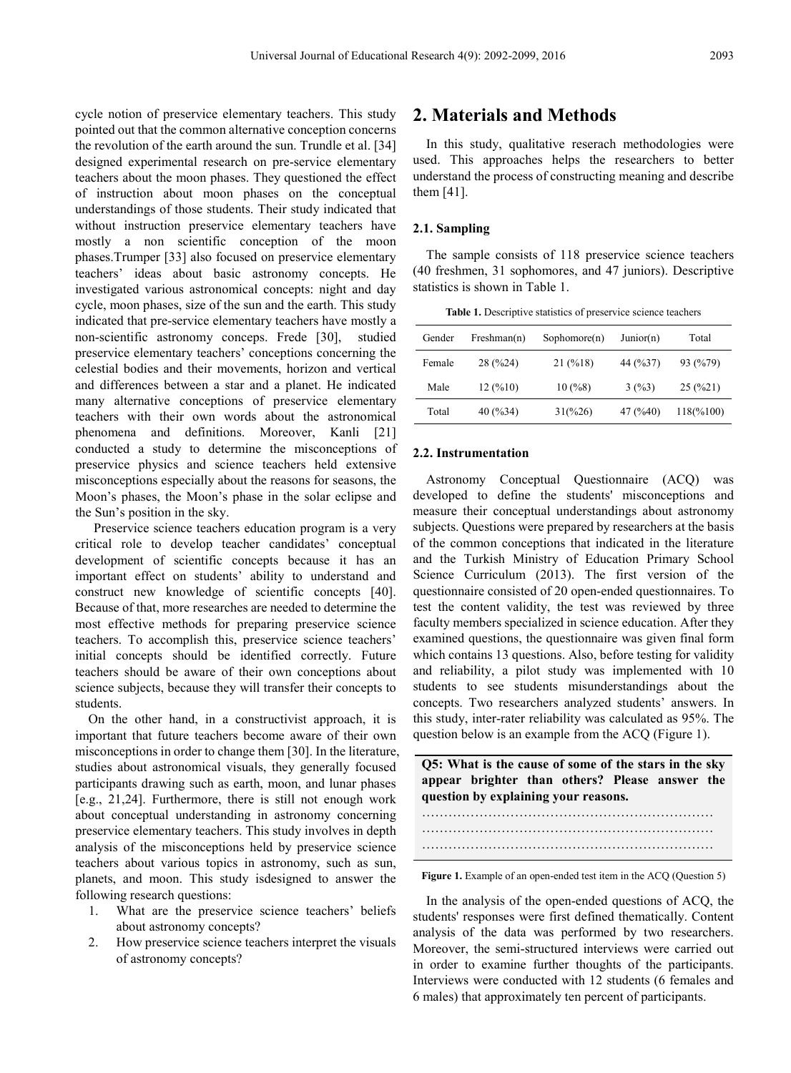cycle notion of preservice elementary teachers. This study pointed out that the common alternative conception concerns the revolution of the earth around the sun. Trundle et al. [34] designed experimental research on pre-service elementary teachers about the moon phases. They questioned the effect of instruction about moon phases on the conceptual understandings of those students. Their study indicated that without instruction preservice elementary teachers have mostly a non scientific conception of the moon phases.Trumper [33] also focused on preservice elementary teachers' ideas about basic astronomy concepts. He investigated various astronomical concepts: night and day cycle, moon phases, size of the sun and the earth. This study indicated that pre-service elementary teachers have mostly a non-scientific astronomy conceps. Frede [30], studied preservice elementary teachers' conceptions concerning the celestial bodies and their movements, horizon and vertical and differences between a star and a planet. He indicated many alternative conceptions of preservice elementary teachers with their own words about the astronomical phenomena and definitions. Moreover, Kanli [21] conducted a study to determine the misconceptions of preservice physics and science teachers held extensive misconceptions especially about the reasons for seasons, the Moon's phases, the Moon's phase in the solar eclipse and the Sun's position in the sky.

Preservice science teachers education program is a very critical role to develop teacher candidates' conceptual development of scientific concepts because it has an important effect on students' ability to understand and construct new knowledge of scientific concepts [40]. Because of that, more researches are needed to determine the most effective methods for preparing preservice science teachers. To accomplish this, preservice science teachers' initial concepts should be identified correctly. Future teachers should be aware of their own conceptions about science subjects, because they will transfer their concepts to students.

On the other hand, in a constructivist approach, it is important that future teachers become aware of their own misconceptions in order to change them [30]. In the literature, studies about astronomical visuals, they generally focused participants drawing such as earth, moon, and lunar phases [e.g., 21,24]. Furthermore, there is still not enough work about conceptual understanding in astronomy concerning preservice elementary teachers. This study involves in depth analysis of the misconceptions held by preservice science teachers about various topics in astronomy, such as sun, planets, and moon. This study isdesigned to answer the following research questions:

- 1. What are the preservice science teachers' beliefs about astronomy concepts?
- 2. How preservice science teachers interpret the visuals of astronomy concepts?

## **2. Materials and Methods**

In this study, qualitative reserach methodologies were used. This approaches helps the researchers to better understand the process of constructing meaning and describe them [41].

#### **2.1. Sampling**

The sample consists of 118 preservice science teachers (40 freshmen, 31 sophomores, and 47 juniors). Descriptive statistics is shown in Table 1.

**Table 1.** Descriptive statistics of preservice science teachers

| Gender | Freshman(n) | Sophomore(n)     | Junior(n) | Total     |
|--------|-------------|------------------|-----------|-----------|
| Female | 28 (%24)    | 21(%18)          | 44 (%37)  | 93 (%79)  |
| Male   | 12(%10)     | 10(%8)           | 3(%3)     | 25(%21)   |
| Total  | 40 (%34)    | $31\frac{6}{26}$ | 47 (%40)  | 118(%100) |

#### **2.2. Instrumentation**

Astronomy Conceptual Questionnaire (ACQ) was developed to define the students' misconceptions and measure their conceptual understandings about astronomy subjects. Questions were prepared by researchers at the basis of the common conceptions that indicated in the literature and the Turkish Ministry of Education Primary School Science Curriculum (2013). The first version of the questionnaire consisted of 20 open-ended questionnaires. To test the content validity, the test was reviewed by three faculty members specialized in science education. After they examined questions, the questionnaire was given final form which contains 13 questions. Also, before testing for validity and reliability, a pilot study was implemented with 10 students to see students misunderstandings about the concepts. Two researchers analyzed students' answers. In this study, inter-rater reliability was calculated as 95%. The question below is an example from the ACQ (Figure 1).

**Q5: What is the cause of some of the stars in the sky appear brighter than others? Please answer the question by explaining your reasons.**

**Figure 1.** Example of an open-ended test item in the ACQ (Question 5)

In the analysis of the open-ended questions of ACQ, the students' responses were first defined thematically. Content analysis of the data was performed by two researchers. Moreover, the semi-structured interviews were carried out in order to examine further thoughts of the participants. Interviews were conducted with 12 students (6 females and 6 males) that approximately ten percent of participants.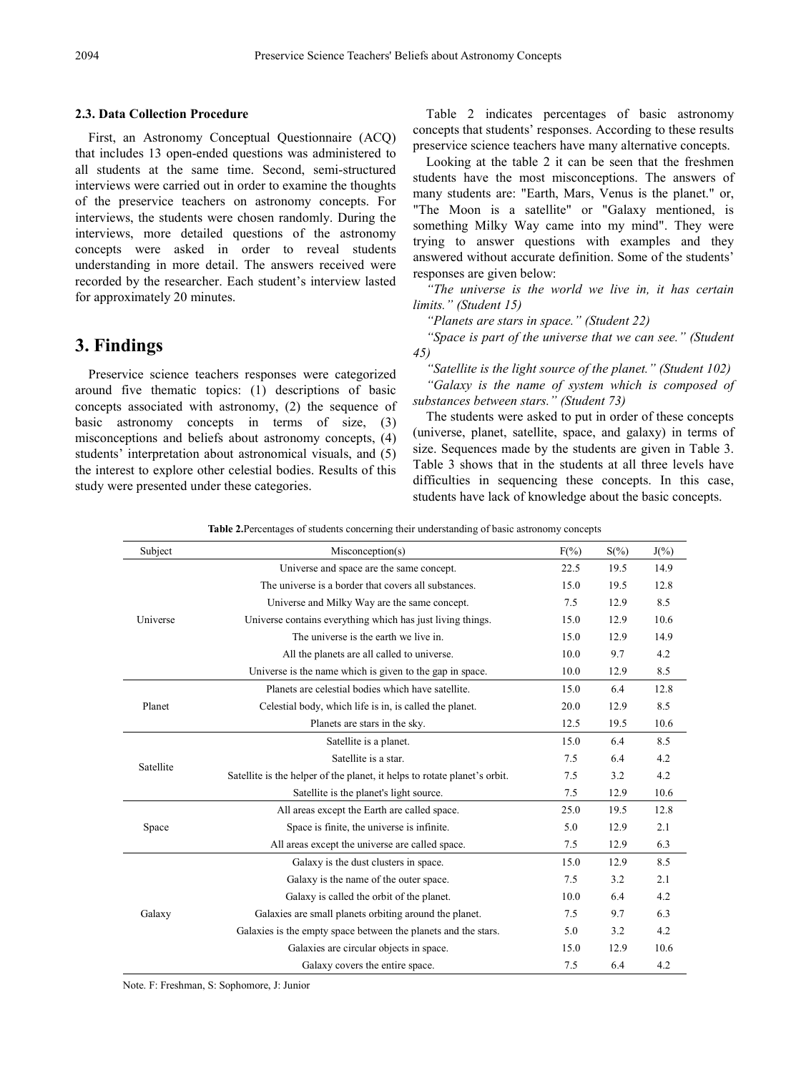#### **2.3. Data Collection Procedure**

First, an Astronomy Conceptual Questionnaire (ACQ) that includes 13 open-ended questions was administered to all students at the same time. Second, semi-structured interviews were carried out in order to examine the thoughts of the preservice teachers on astronomy concepts. For interviews, the students were chosen randomly. During the interviews, more detailed questions of the astronomy concepts were asked in order to reveal students understanding in more detail. The answers received were recorded by the researcher. Each student's interview lasted for approximately 20 minutes.

## **3. Findings**

Preservice science teachers responses were categorized around five thematic topics: (1) descriptions of basic concepts associated with astronomy, (2) the sequence of basic astronomy concepts in terms of size, (3) misconceptions and beliefs about astronomy concepts, (4) students' interpretation about astronomical visuals, and (5) the interest to explore other celestial bodies. Results of this study were presented under these categories.

Table 2 indicates percentages of basic astronomy concepts that students' responses. According to these results preservice science teachers have many alternative concepts.

Looking at the table 2 it can be seen that the freshmen students have the most misconceptions. The answers of many students are: "Earth, Mars, Venus is the planet." or, "The Moon is a satellite" or "Galaxy mentioned, is something Milky Way came into my mind". They were trying to answer questions with examples and they answered without accurate definition. Some of the students' responses are given below:

*"The universe is the world we live in, it has certain limits." (Student 15)*

*"Planets are stars in space." (Student 22)*

*"Space is part of the universe that we can see." (Student 45)*

*"Satellite is the light source of the planet." (Student 102) "Galaxy is the name of system which is composed of substances between stars." (Student 73)*

The students were asked to put in order of these concepts (universe, planet, satellite, space, and galaxy) in terms of size. Sequences made by the students are given in Table 3. Table 3 shows that in the students at all three levels have difficulties in sequencing these concepts. In this case, students have lack of knowledge about the basic concepts.

**Table 2.**Percentages of students concerning their understanding of basic astronomy concepts

| Subject   | Misconception(s)                                                          | $F(\% )$ | $S(\% )$ | $J(\% )$ |
|-----------|---------------------------------------------------------------------------|----------|----------|----------|
|           | Universe and space are the same concept.                                  | 22.5     | 19.5     | 14.9     |
|           | The universe is a border that covers all substances.                      | 15.0     | 19.5     | 12.8     |
|           | Universe and Milky Way are the same concept.                              | 7.5      | 12.9     | 8.5      |
| Universe  | Universe contains everything which has just living things.                | 15.0     | 12.9     | 10.6     |
|           | The universe is the earth we live in.                                     | 15.0     | 12.9     | 14.9     |
|           | All the planets are all called to universe.                               | 10.0     | 9.7      | 4.2      |
|           | Universe is the name which is given to the gap in space.                  | 10.0     | 12.9     | 8.5      |
|           | Planets are celestial bodies which have satellite.                        | 15.0     | 6.4      | 12.8     |
| Planet    | Celestial body, which life is in, is called the planet.                   | 20.0     | 12.9     | 8.5      |
|           | Planets are stars in the sky.                                             | 12.5     | 19.5     | 10.6     |
|           | Satellite is a planet.                                                    | 15.0     | 6.4      | 8.5      |
| Satellite | Satellite is a star.                                                      | 7.5      | 6.4      | 4.2      |
|           | Satellite is the helper of the planet, it helps to rotate planet's orbit. | 7.5      | 3.2      | 4.2      |
|           | Satellite is the planet's light source.                                   | 7.5      | 12.9     | 10.6     |
|           | All areas except the Earth are called space.                              | 25.0     | 19.5     | 12.8     |
| Space     | Space is finite, the universe is infinite.                                | 5.0      | 12.9     | 2.1      |
|           | All areas except the universe are called space.                           | 7.5      | 12.9     | 6.3      |
|           | Galaxy is the dust clusters in space.                                     | 15.0     | 12.9     | 8.5      |
|           | Galaxy is the name of the outer space.                                    | 7.5      | 3.2      | 2.1      |
|           | Galaxy is called the orbit of the planet.                                 | 10.0     | 6.4      | 4.2      |
| Galaxy    | Galaxies are small planets orbiting around the planet.                    | 7.5      | 9.7      | 6.3      |
|           | Galaxies is the empty space between the planets and the stars.            | 5.0      | 3.2      | 4.2      |
|           | Galaxies are circular objects in space.                                   | 15.0     | 12.9     | 10.6     |
|           | Galaxy covers the entire space.                                           | 7.5      | 6.4      | 4.2      |

Note. F: Freshman, S: Sophomore, J: Junior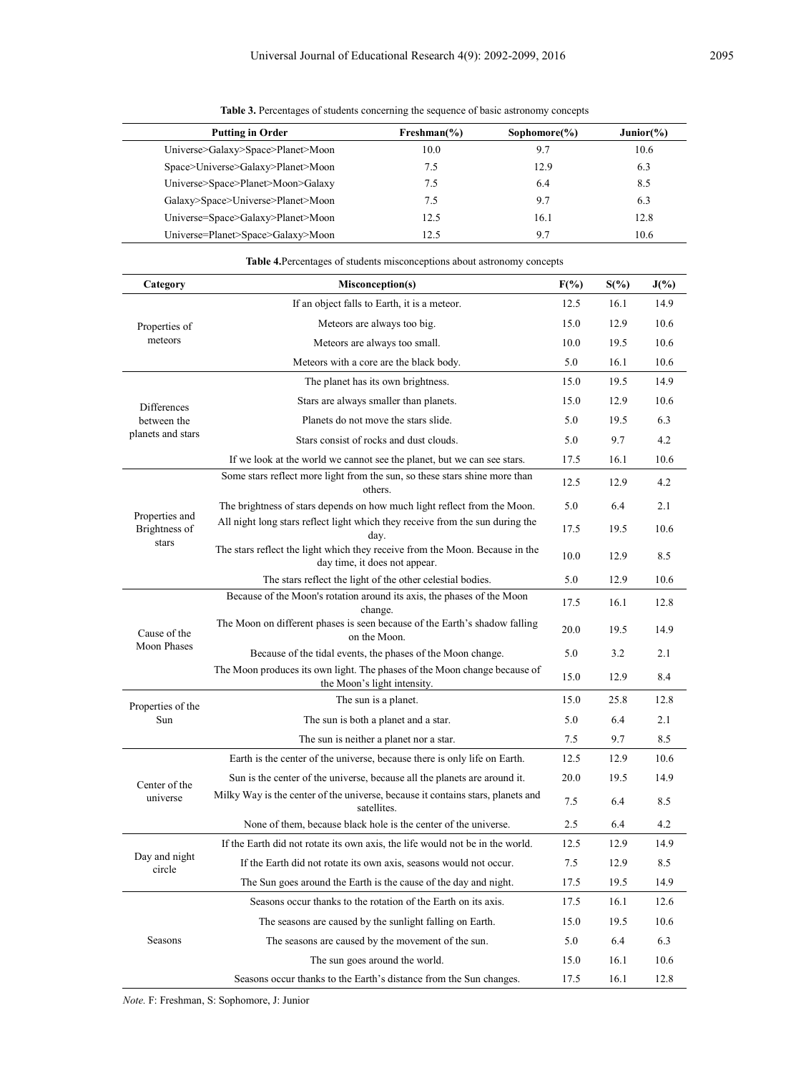| <b>Putting in Order</b>           | $Freshman(\% )$ | Sophomore $(\% )$ | Junior( <sub>9</sub> ) |
|-----------------------------------|-----------------|-------------------|------------------------|
| Universe>Galaxy>Space>Planet>Moon | 10.0            | 9.7               | 10.6                   |
| Space>Universe>Galaxy>Planet>Moon | 7.5             | 12.9              | 6.3                    |
| Universe>Space>Planet>Moon>Galaxy | 7.5             | 6.4               | 8.5                    |
| Galaxy>Space>Universe>Planet>Moon | 7.5             | 9.7               | 6.3                    |
| Universe=Space>Galaxy>Planet>Moon | 12.5            | 16.1              | 12.8                   |
| Universe=Planet>Space>Galaxy>Moon | 12.5            | 9.7               | 10.6                   |

**Table 3.** Percentages of students concerning the sequence of basic astronomy concepts

| Category                | <b>Misconception(s)</b>                                                                                       | $F(\%)$ | $S(\%)$ | $J(\%)$ |
|-------------------------|---------------------------------------------------------------------------------------------------------------|---------|---------|---------|
|                         | If an object falls to Earth, it is a meteor.                                                                  | 12.5    | 16.1    | 14.9    |
| Properties of           | Meteors are always too big.                                                                                   | 15.0    | 12.9    | 10.6    |
| meteors                 | Meteors are always too small.                                                                                 | 10.0    | 19.5    | 10.6    |
|                         | Meteors with a core are the black body.                                                                       | 5.0     | 16.1    | 10.6    |
|                         | The planet has its own brightness.                                                                            | 15.0    | 19.5    | 14.9    |
| Differences             | Stars are always smaller than planets.                                                                        | 15.0    | 12.9    | 10.6    |
| between the             | Planets do not move the stars slide.                                                                          | 5.0     | 19.5    | 6.3     |
| planets and stars       | Stars consist of rocks and dust clouds.                                                                       | 5.0     | 9.7     | 4.2     |
|                         | If we look at the world we cannot see the planet, but we can see stars.                                       | 17.5    | 16.1    | 10.6    |
|                         | Some stars reflect more light from the sun, so these stars shine more than<br>others.                         | 12.5    | 12.9    | 4.2     |
| Properties and          | The brightness of stars depends on how much light reflect from the Moon.                                      | 5.0     | 6.4     | 2.1     |
| Brightness of<br>stars  | All night long stars reflect light which they receive from the sun during the<br>day.                         | 17.5    | 19.5    | 10.6    |
|                         | The stars reflect the light which they receive from the Moon. Because in the<br>day time, it does not appear. | 10.0    | 12.9    | 8.5     |
|                         | The stars reflect the light of the other celestial bodies.                                                    | 5.0     | 12.9    | 10.6    |
|                         | Because of the Moon's rotation around its axis, the phases of the Moon<br>change.                             | 17.5    | 16.1    | 12.8    |
| Cause of the            | The Moon on different phases is seen because of the Earth's shadow falling<br>on the Moon.                    | 20.0    | 19.5    | 14.9    |
| Moon Phases             | Because of the tidal events, the phases of the Moon change.                                                   | 5.0     | 3.2     | 2.1     |
|                         | The Moon produces its own light. The phases of the Moon change because of<br>the Moon's light intensity.      | 15.0    | 12.9    | 8.4     |
| Properties of the       | The sun is a planet.                                                                                          | 15.0    | 25.8    | 12.8    |
| Sun                     | The sun is both a planet and a star.                                                                          | 5.0     | 6.4     | 2.1     |
|                         | The sun is neither a planet nor a star.                                                                       | 7.5     | 9.7     | 8.5     |
|                         | Earth is the center of the universe, because there is only life on Earth.                                     | 12.5    | 12.9    | 10.6    |
| Center of the           | Sun is the center of the universe, because all the planets are around it.                                     | 20.0    | 19.5    | 14.9    |
| universe                | Milky Way is the center of the universe, because it contains stars, planets and<br>satellites.                | 7.5     | 6.4     | 8.5     |
|                         | None of them, because black hole is the center of the universe.                                               | 2.5     | 6.4     | 4.2     |
|                         | If the Earth did not rotate its own axis, the life would not be in the world.                                 | 12.5    | 12.9    | 14.9    |
| Day and night<br>circle | If the Earth did not rotate its own axis, seasons would not occur.                                            | 7.5     | 12.9    | 8.5     |
|                         | The Sun goes around the Earth is the cause of the day and night.                                              | 17.5    | 19.5    | 14.9    |
|                         | Seasons occur thanks to the rotation of the Earth on its axis.                                                | 17.5    | 16.1    | 12.6    |
|                         | The seasons are caused by the sunlight falling on Earth.                                                      | 15.0    | 19.5    | 10.6    |
| Seasons                 | The seasons are caused by the movement of the sun.                                                            | 5.0     | 6.4     | 6.3     |
|                         | The sun goes around the world.                                                                                | 15.0    | 16.1    | 10.6    |
|                         | Seasons occur thanks to the Earth's distance from the Sun changes.                                            | 17.5    | 16.1    | 12.8    |

**Table 4.**Percentages of students misconceptions about astronomy concepts

*Note.* F: Freshman, S: Sophomore, J: Junior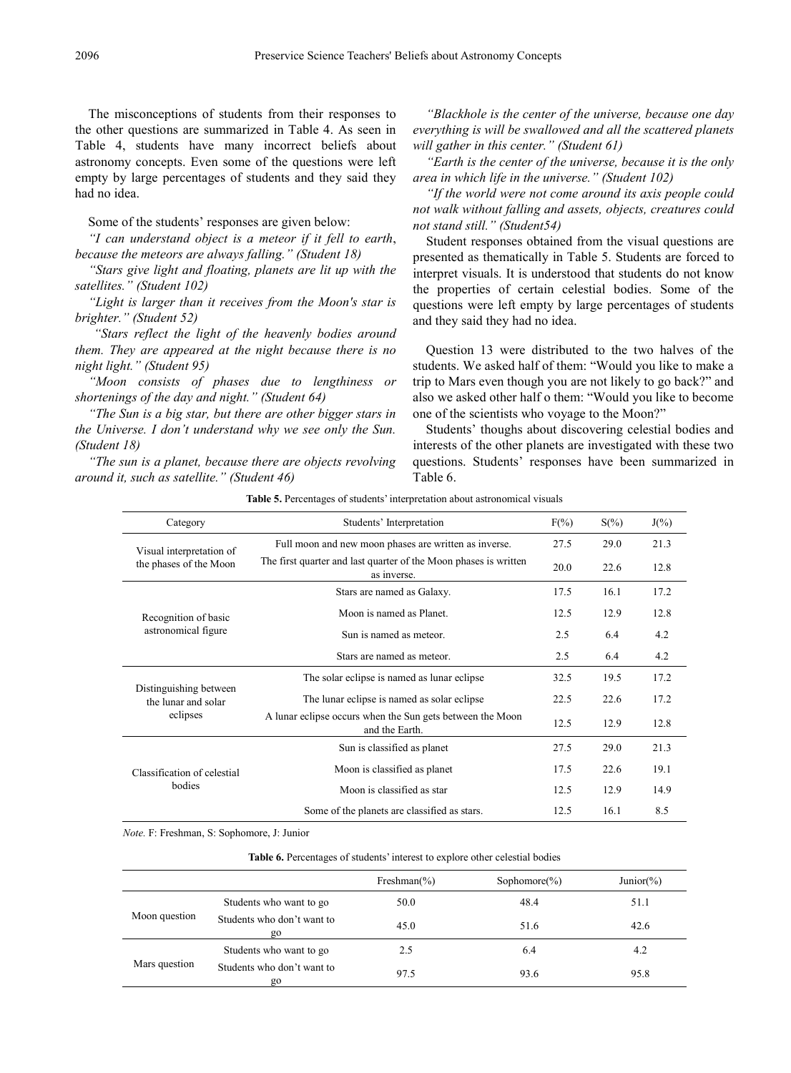The misconceptions of students from their responses to the other questions are summarized in Table 4. As seen in Table 4, students have many incorrect beliefs about astronomy concepts. Even some of the questions were left empty by large percentages of students and they said they had no idea.

Some of the students' responses are given below:

*"I can understand object is a meteor if it fell to earth*, *because the meteors are always falling." (Student 18)*

*"Stars give light and floating, planets are lit up with the satellites." (Student 102)*

*"Light is larger than it receives from the Moon's star is brighter." (Student 52)*

*"Stars reflect the light of the heavenly bodies around them. They are appeared at the night because there is no night light." (Student 95)*

*"Moon consists of phases due to lengthiness or shortenings of the day and night." (Student 64)*

*"The Sun is a big star, but there are other bigger stars in the Universe. I don't understand why we see only the Sun. (Student 18)*

*"The sun is a planet, because there are objects revolving around it, such as satellite." (Student 46)*

*"Blackhole is the center of the universe, because one day everything is will be swallowed and all the scattered planets will gather in this center." (Student 61)*

*"Earth is the center of the universe, because it is the only area in which life in the universe." (Student 102)*

*"If the world were not come around its axis people could not walk without falling and assets, objects, creatures could not stand still." (Student54)*

Student responses obtained from the visual questions are presented as thematically in Table 5. Students are forced to interpret visuals. It is understood that students do not know the properties of certain celestial bodies. Some of the questions were left empty by large percentages of students and they said they had no idea.

Question 13 were distributed to the two halves of the students. We asked half of them: "Would you like to make a trip to Mars even though you are not likely to go back?" and also we asked other half o them: "Would you like to become one of the scientists who voyage to the Moon?"

Students' thoughs about discovering celestial bodies and interests of the other planets are investigated with these two questions. Students' responses have been summarized in Table 6.

| <b>Table 5.</b> Percentages of students' interpretation about astronomical visuals |  |  |  |
|------------------------------------------------------------------------------------|--|--|--|
|                                                                                    |  |  |  |

| Category                                      | Students' Interpretation                                                        | $F(\% )$ | $S(\%)$ | $J(\%)$ |
|-----------------------------------------------|---------------------------------------------------------------------------------|----------|---------|---------|
| Visual interpretation of                      | Full moon and new moon phases are written as inverse.                           | 27.5     | 29.0    | 21.3    |
| the phases of the Moon                        | The first quarter and last quarter of the Moon phases is written<br>as inverse. | 20.0     | 22.6    | 12.8    |
|                                               | Stars are named as Galaxy.                                                      | 17.5     | 16.1    | 17.2    |
| Recognition of basic                          | Moon is named as Planet.                                                        | 12.5     | 12.9    | 12.8    |
| astronomical figure                           | Sun is named as meteor.                                                         | 2.5      | 6.4     | 4.2     |
|                                               | Stars are named as meteor.                                                      | 2.5      | 6.4     | 4.2     |
|                                               | The solar eclipse is named as lunar eclipse.                                    | 32.5     | 19.5    | 17.2    |
| Distinguishing between<br>the lunar and solar | The lunar eclipse is named as solar eclipse.                                    | 22.5     | 22.6    | 17.2    |
| eclipses                                      | A lunar eclipse occurs when the Sun gets between the Moon<br>and the Earth.     | 12.5     | 12.9    | 12.8    |
|                                               | Sun is classified as planet                                                     | 27.5     | 29.0    | 21.3    |
| Classification of celestial                   | Moon is classified as planet                                                    | 17.5     | 22.6    | 19.1    |
| bodies                                        | Moon is classified as star                                                      | 12.5     | 12.9    | 14.9    |
|                                               | Some of the planets are classified as stars.                                    | 12.5     | 16.1    | 8.5     |

*Note.* F: Freshman, S: Sophomore, J: Junior

|               |                                  | Freshman $(\%)$ | Sophomore $(\%)$ | Junior(%) |
|---------------|----------------------------------|-----------------|------------------|-----------|
|               | Students who want to go          | 50.0            | 48.4             | 51.1      |
| Moon question | Students who don't want to<br>go | 45.0            | 51.6             | 42.6      |
|               | Students who want to go          | 2.5             | 6.4              | 4.2       |
| Mars question | Students who don't want to<br>go | 97.5            | 93.6             | 95.8      |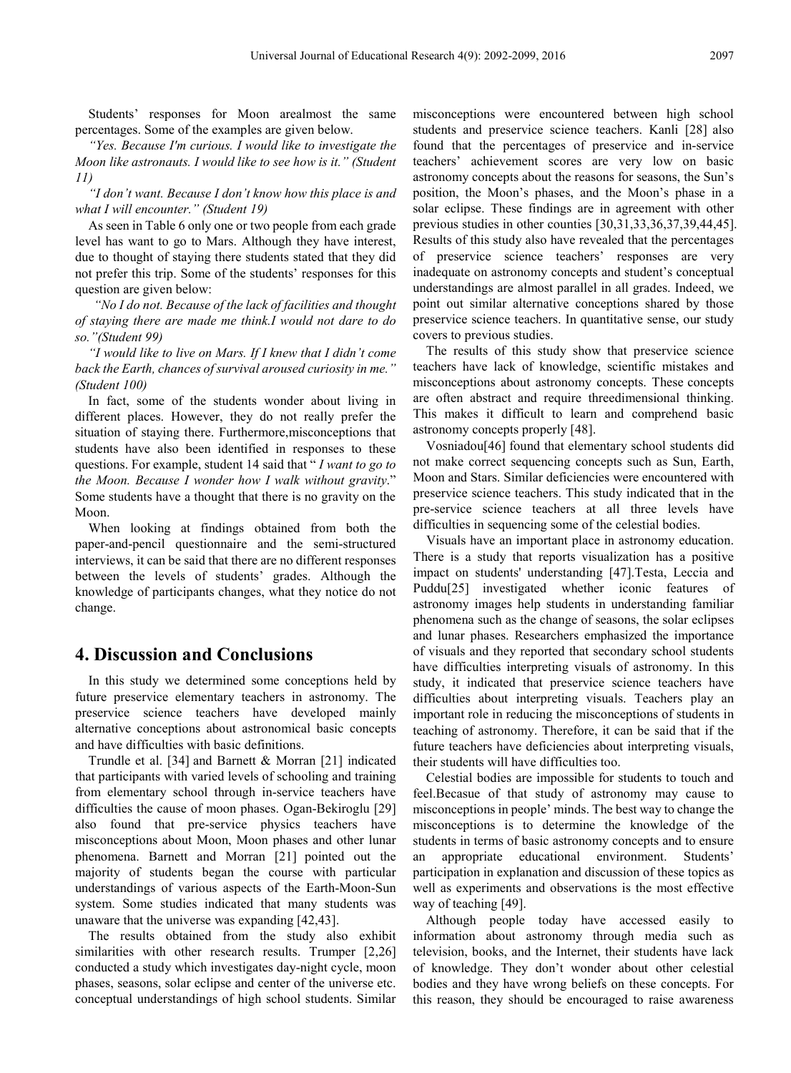Students' responses for Moon arealmost the same percentages. Some of the examples are given below.

*"Yes. Because I'm curious. I would like to investigate the Moon like astronauts. I would like to see how is it." (Student 11)*

*"I don't want. Because I don't know how this place is and what I will encounter." (Student 19)*

As seen in Table 6 only one or two people from each grade level has want to go to Mars. Although they have interest, due to thought of staying there students stated that they did not prefer this trip. Some of the students' responses for this question are given below:

*"No I do not. Because of the lack of facilities and thought of staying there are made me think.I would not dare to do so."(Student 99)*

*"I would like to live on Mars. If I knew that I didn't come back the Earth, chances of survival aroused curiosity in me." (Student 100)*

In fact, some of the students wonder about living in different places. However, they do not really prefer the situation of staying there. Furthermore,misconceptions that students have also been identified in responses to these questions. For example, student 14 said that " *I want to go to the Moon. Because I wonder how I walk without gravity*." Some students have a thought that there is no gravity on the Moon.

When looking at findings obtained from both the paper-and-pencil questionnaire and the semi-structured interviews, it can be said that there are no different responses between the levels of students' grades. Although the knowledge of participants changes, what they notice do not change.

### **4. Discussion and Conclusions**

In this study we determined some conceptions held by future preservice elementary teachers in astronomy. The preservice science teachers have developed mainly alternative conceptions about astronomical basic concepts and have difficulties with basic definitions.

Trundle et al. [34] and Barnett & Morran [21] indicated that participants with varied levels of schooling and training from elementary school through in-service teachers have difficulties the cause of moon phases. Ogan-Bekiroglu [29] also found that pre-service physics teachers have misconceptions about Moon, Moon phases and other lunar phenomena. Barnett and Morran [21] pointed out the majority of students began the course with particular understandings of various aspects of the Earth-Moon-Sun system. Some studies indicated that many students was unaware that the universe was expanding [42,43].

The results obtained from the study also exhibit similarities with other research results. Trumper [2,26] conducted a study which investigates day-night cycle, moon phases, seasons, solar eclipse and center of the universe etc. conceptual understandings of high school students. Similar

misconceptions were encountered between high school students and preservice science teachers. Kanli [28] also found that the percentages of preservice and in-service teachers' achievement scores are very low on basic astronomy concepts about the reasons for seasons, the Sun's position, the Moon's phases, and the Moon's phase in a solar eclipse. These findings are in agreement with other previous studies in other counties [30,31,33,36,37,39,44,45]. Results of this study also have revealed that the percentages of preservice science teachers' responses are very inadequate on astronomy concepts and student's conceptual understandings are almost parallel in all grades. Indeed, we point out similar alternative conceptions shared by those preservice science teachers. In quantitative sense, our study covers to previous studies.

The results of this study show that preservice science teachers have lack of knowledge, scientific mistakes and misconceptions about astronomy concepts. These concepts are often abstract and require threedimensional thinking. This makes it difficult to learn and comprehend basic astronomy concepts properly [48].

Vosniadou[46] found that elementary school students did not make correct sequencing concepts such as Sun, Earth, Moon and Stars. Similar deficiencies were encountered with preservice science teachers. This study indicated that in the pre-service science teachers at all three levels have difficulties in sequencing some of the celestial bodies.

Visuals have an important place in astronomy education. There is a study that reports visualization has a positive impact on students' understanding [47].Testa, Leccia and Puddu[25] investigated whether iconic features of astronomy images help students in understanding familiar phenomena such as the change of seasons, the solar eclipses and lunar phases. Researchers emphasized the importance of visuals and they reported that secondary school students have difficulties interpreting visuals of astronomy. In this study, it indicated that preservice science teachers have difficulties about interpreting visuals. Teachers play an important role in reducing the misconceptions of students in teaching of astronomy. Therefore, it can be said that if the future teachers have deficiencies about interpreting visuals, their students will have difficulties too.

Celestial bodies are impossible for students to touch and feel.Becasue of that study of astronomy may cause to misconceptions in people' minds. The best way to change the misconceptions is to determine the knowledge of the students in terms of basic astronomy concepts and to ensure an appropriate educational environment. Students' participation in explanation and discussion of these topics as well as experiments and observations is the most effective way of teaching [49].

Although people today have accessed easily to information about astronomy through media such as television, books, and the Internet, their students have lack of knowledge. They don't wonder about other celestial bodies and they have wrong beliefs on these concepts. For this reason, they should be encouraged to raise awareness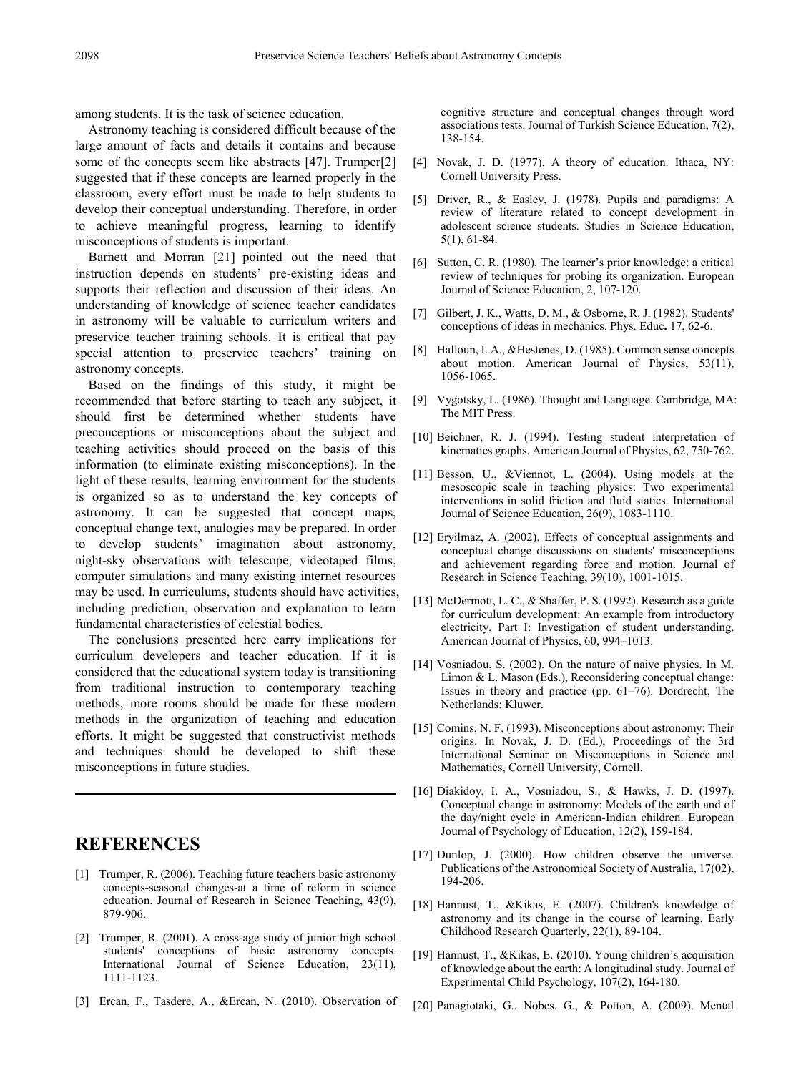among students. It is the task of science education.

Astronomy teaching is considered difficult because of the large amount of facts and details it contains and because some of the concepts seem like abstracts [47]. Trumper[2] suggested that if these concepts are learned properly in the classroom, every effort must be made to help students to develop their conceptual understanding. Therefore, in order to achieve meaningful progress, learning to identify misconceptions of students is important.

Barnett and Morran [21] pointed out the need that instruction depends on students' pre-existing ideas and supports their reflection and discussion of their ideas. An understanding of knowledge of science teacher candidates in astronomy will be valuable to curriculum writers and preservice teacher training schools. It is critical that pay special attention to preservice teachers' training on astronomy concepts.

Based on the findings of this study, it might be recommended that before starting to teach any subject, it should first be determined whether students have preconceptions or misconceptions about the subject and teaching activities should proceed on the basis of this information (to eliminate existing misconceptions). In the light of these results, learning environment for the students is organized so as to understand the key concepts of astronomy. It can be suggested that concept maps, conceptual change text, analogies may be prepared. In order to develop students' imagination about astronomy, night-sky observations with telescope, videotaped films, computer simulations and many existing internet resources may be used. In curriculums, students should have activities, including prediction, observation and explanation to learn fundamental characteristics of celestial bodies.

The conclusions presented here carry implications for curriculum developers and teacher education. If it is considered that the educational system today is transitioning from traditional instruction to contemporary teaching methods, more rooms should be made for these modern methods in the organization of teaching and education efforts. It might be suggested that constructivist methods and techniques should be developed to shift these misconceptions in future studies.

## **REFERENCES**

- [1] Trumper, R. (2006). Teaching future teachers basic astronomy concepts-seasonal changes-at a time of reform in science education. Journal of Research in Science Teaching, 43(9), 879-906.
- [2] Trumper, R. (2001). A cross-age study of junior high school students' conceptions of basic astronomy concepts. International Journal of Science Education, 23(11), 1111-1123.
- [3] Ercan, F., Tasdere, A., &Ercan, N. (2010). Observation of

cognitive structure and conceptual changes through word associations tests. Journal of Turkish Science Education, 7(2), 138-154.

- [4] Novak, J. D. (1977). A theory of education. Ithaca, NY: Cornell University Press.
- [5] Driver, R., & Easley, J. (1978). Pupils and paradigms: A review of literature related to concept development in adolescent science students. Studies in Science Education, 5(1), 61-84.
- [6] Sutton, C. R. (1980). The learner's prior knowledge: a critical review of techniques for probing its organization. European Journal of Science Education, 2, 107-120.
- [7] Gilbert, J. K., Watts, D. M., & Osborne, R. J. (1982). Students' conceptions of ideas in mechanics. Phys. Educ**.** 17, 62-6.
- [8] Halloun, I. A., &Hestenes, D. (1985). Common sense concepts about motion. American Journal of Physics,  $53(11)$ , 1056-1065.
- [9] Vygotsky, L. (1986). Thought and Language. Cambridge, MA: The MIT Press.
- [10] Beichner, R. J. (1994). Testing student interpretation of kinematics graphs. American Journal of Physics, 62, 750-762.
- [11] Besson, U., &Viennot, L. (2004). Using models at the mesoscopic scale in teaching physics: Two experimental interventions in solid friction and fluid statics. International Journal of Science Education, 26(9), 1083-1110.
- [12] Eryilmaz, A. (2002). Effects of conceptual assignments and conceptual change discussions on students' misconceptions and achievement regarding force and motion. Journal of Research in Science Teaching, 39(10), 1001-1015.
- [13] McDermott, L. C., & Shaffer, P. S. (1992). Research as a guide for curriculum development: An example from introductory electricity. Part I: Investigation of student understanding. American Journal of Physics, 60, 994–1013.
- [14] Vosniadou, S. (2002). On the nature of naive physics. In M. Limon & L. Mason (Eds.), Reconsidering conceptual change: Issues in theory and practice (pp. 61–76). Dordrecht, The Netherlands: Kluwer.
- [15] Comins, N. F. (1993). Misconceptions about astronomy: Their origins. In Novak, J. D. (Ed.), Proceedings of the 3rd International Seminar on Misconceptions in Science and Mathematics, Cornell University, Cornell.
- [16] Diakidoy, I. A., Vosniadou, S., & Hawks, J. D. (1997). Conceptual change in astronomy: Models of the earth and of the day/night cycle in American-Indian children. European Journal of Psychology of Education, 12(2), 159-184.
- [17] Dunlop, J. (2000). How children observe the universe. Publications of the Astronomical Society of Australia, 17(02), 194-206.
- [18] Hannust, T., &Kikas, E. (2007). Children's knowledge of astronomy and its change in the course of learning. Early Childhood Research Quarterly, 22(1), 89-104.
- [19] Hannust, T., &Kikas, E. (2010). Young children's acquisition of knowledge about the earth: A longitudinal study. Journal of Experimental Child Psychology, 107(2), 164-180.
- [20] Panagiotaki, G., Nobes, G., & Potton, A. (2009). Mental